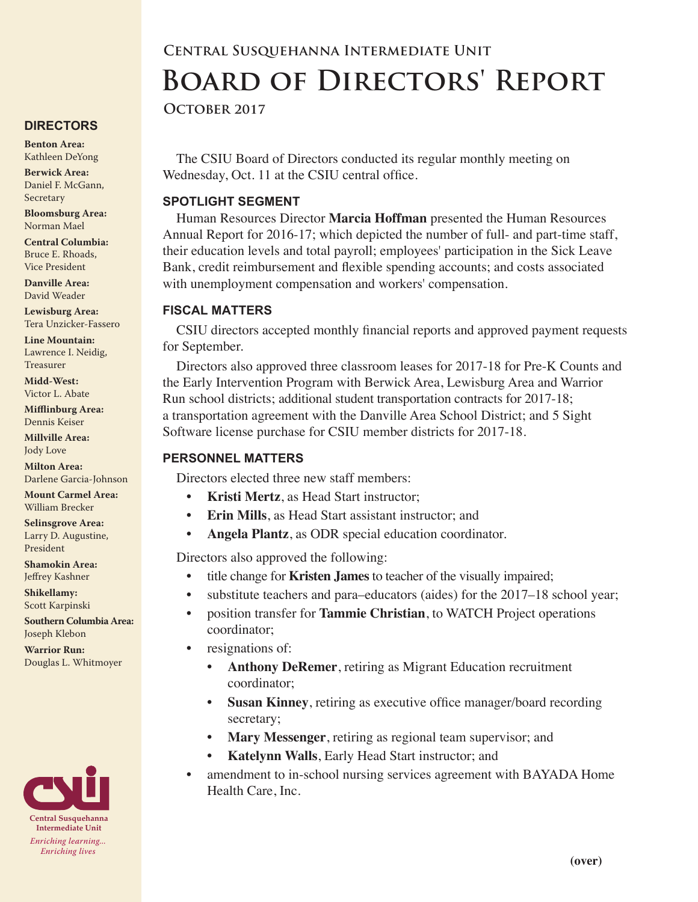# **Central Susquehanna Intermediate Unit Board of Directors' Report**

**October 2017**

The CSIU Board of Directors conducted its regular monthly meeting on Wednesday, Oct. 11 at the CSIU central office.

## **SPOTLIGHT SEGMENT**

Human Resources Director **Marcia Hoffman** presented the Human Resources Annual Report for 2016-17; which depicted the number of full- and part-time staff, their education levels and total payroll; employees' participation in the Sick Leave Bank, credit reimbursement and flexible spending accounts; and costs associated with unemployment compensation and workers' compensation.

## **FISCAL MATTERS**

CSIU directors accepted monthly financial reports and approved payment requests for September.

Directors also approved three classroom leases for 2017-18 for Pre-K Counts and the Early Intervention Program with Berwick Area, Lewisburg Area and Warrior Run school districts; additional student transportation contracts for 2017-18; a transportation agreement with the Danville Area School District; and 5 Sight Software license purchase for CSIU member districts for 2017-18.

## **PERSONNEL MATTERS**

Directors elected three new staff members:

- **Kristi Mertz**, as Head Start instructor:
- **• Erin Mills**, as Head Start assistant instructor; and
- **• Angela Plantz**, as ODR special education coordinator.

Directors also approved the following:

- title change for **Kristen James** to teacher of the visually impaired;
- substitute teachers and para–educators (aides) for the 2017–18 school year;
- position transfer for **Tammie Christian**, to WATCH Project operations coordinator;
- resignations of:
	- **• Anthony DeRemer**, retiring as Migrant Education recruitment coordinator;
	- **• Susan Kinney**, retiring as executive office manager/board recording secretary;
	- **• Mary Messenger**, retiring as regional team supervisor; and
	- **• Katelynn Walls**, Early Head Start instructor; and
- amendment to in-school nursing services agreement with BAYADA Home Health Care, Inc.

# **DIRECTORS**

**Benton Area:** Kathleen DeYong

**Berwick Area:** Daniel F. McGann, Secretary

**Bloomsburg Area:**  Norman Mael

**Central Columbia:** Bruce E. Rhoads, Vice President

**Danville Area:** David Weader

**Lewisburg Area:** Tera Unzicker-Fassero

**Line Mountain:** Lawrence I. Neidig, Treasurer

**Midd-West:**  Victor L. Abate

**Mifflinburg Area:** Dennis Keiser

**Millville Area:** Jody Love

**Milton Area:** Darlene Garcia-Johnson

**Mount Carmel Area:**  William Brecker

**Selinsgrove Area:**  Larry D. Augustine, President

**Shamokin Area:** Jeffrey Kashner

**Shikellamy:**  Scott Karpinski

**Southern Columbia Area:** Joseph Klebon

**Warrior Run:** Douglas L. Whitmoyer